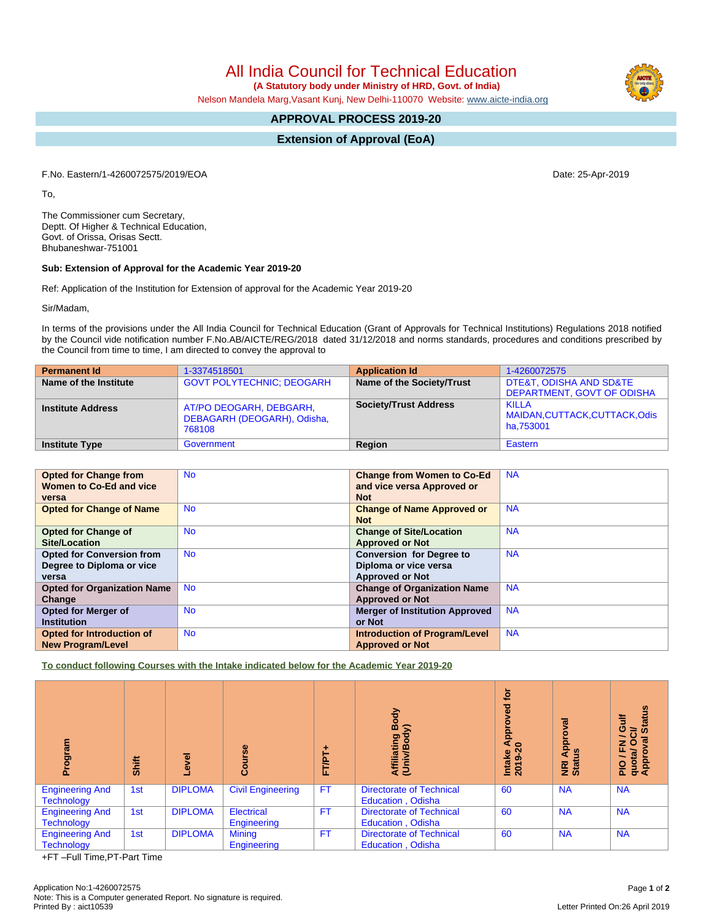All India Council for Technical Education

 **(A Statutory body under Ministry of HRD, Govt. of India)**

Nelson Mandela Marg,Vasant Kunj, New Delhi-110070 Website: [www.aicte-india.org](http://www.aicte-india.org)

## **APPROVAL PROCESS 2019-20**

**Extension of Approval (EoA)**

F.No. Eastern/1-4260072575/2019/EOA Date: 25-Apr-2019

To,

The Commissioner cum Secretary, Deptt. Of Higher & Technical Education, Govt. of Orissa, Orisas Sectt. Bhubaneshwar-751001

## **Sub: Extension of Approval for the Academic Year 2019-20**

Ref: Application of the Institution for Extension of approval for the Academic Year 2019-20

Sir/Madam,

In terms of the provisions under the All India Council for Technical Education (Grant of Approvals for Technical Institutions) Regulations 2018 notified by the Council vide notification number F.No.AB/AICTE/REG/2018 dated 31/12/2018 and norms standards, procedures and conditions prescribed by the Council from time to time, I am directed to convey the approval to

| <b>Permanent Id</b>      | 1-3374518501                                                     | <b>Application Id</b>        | 1-4260072575                                          |
|--------------------------|------------------------------------------------------------------|------------------------------|-------------------------------------------------------|
| Name of the Institute    | <b>GOVT POLYTECHNIC: DEOGARH</b>                                 | Name of the Society/Trust    | DTE&T, ODISHA AND SD&TE<br>DEPARTMENT, GOVT OF ODISHA |
| <b>Institute Address</b> | AT/PO DEOGARH, DEBGARH,<br>DEBAGARH (DEOGARH), Odisha,<br>768108 | <b>Society/Trust Address</b> | KILLA<br>MAIDAN, CUTTACK, CUTTACK, Odis<br>ha.753001  |
| <b>Institute Type</b>    | Government                                                       | Region                       | Eastern                                               |

| <b>Opted for Change from</b>       | <b>No</b> | <b>Change from Women to Co-Ed</b>     | <b>NA</b> |
|------------------------------------|-----------|---------------------------------------|-----------|
| Women to Co-Ed and vice            |           | and vice versa Approved or            |           |
| versa                              |           | <b>Not</b>                            |           |
| <b>Opted for Change of Name</b>    | <b>No</b> | <b>Change of Name Approved or</b>     | <b>NA</b> |
|                                    |           | <b>Not</b>                            |           |
| <b>Opted for Change of</b>         | <b>No</b> | <b>Change of Site/Location</b>        | <b>NA</b> |
| Site/Location                      |           | <b>Approved or Not</b>                |           |
| <b>Opted for Conversion from</b>   | <b>No</b> | <b>Conversion for Degree to</b>       | <b>NA</b> |
| Degree to Diploma or vice          |           | Diploma or vice versa                 |           |
| versa                              |           | <b>Approved or Not</b>                |           |
| <b>Opted for Organization Name</b> | <b>No</b> | <b>Change of Organization Name</b>    | <b>NA</b> |
| Change                             |           | <b>Approved or Not</b>                |           |
| <b>Opted for Merger of</b>         | <b>No</b> | <b>Merger of Institution Approved</b> | <b>NA</b> |
| <b>Institution</b>                 |           | or Not                                |           |
| Opted for Introduction of          | <b>No</b> | <b>Introduction of Program/Level</b>  | <b>NA</b> |
| <b>New Program/Level</b>           |           | <b>Approved or Not</b>                |           |

**To conduct following Courses with the Intake indicated below for the Academic Year 2019-20**

| ram<br>ਨੁ<br>Δ.                             | Shift | g<br>O.        | Course                           | FT/PT     | Body<br>⋦<br>Affiliating<br>(Univ/Body                      | tor<br><b>P</b><br>۰<br>Appro<br>$\boldsymbol{\mathsf{20}}$<br>Intake<br>2019-2 | ख़<br>ē<br>Appr<br>9<br>NRI<br>Statu | <b>Status</b><br>這<br>0<br>ð<br>ത<br>z<br>O<br>ш.<br>quota/<br>Approv<br>∽<br>$\frac{1}{2}$ |
|---------------------------------------------|-------|----------------|----------------------------------|-----------|-------------------------------------------------------------|---------------------------------------------------------------------------------|--------------------------------------|---------------------------------------------------------------------------------------------|
| <b>Engineering And</b><br><b>Technology</b> | 1st   | <b>DIPLOMA</b> | <b>Civil Engineering</b>         | <b>FT</b> | <b>Directorate of Technical</b><br><b>Education, Odisha</b> | 60                                                                              | <b>NA</b>                            | <b>NA</b>                                                                                   |
| <b>Engineering And</b><br><b>Technology</b> | 1st   | <b>DIPLOMA</b> | <b>Electrical</b><br>Engineering | <b>FT</b> | <b>Directorate of Technical</b><br><b>Education, Odisha</b> | 60                                                                              | <b>NA</b>                            | <b>NA</b>                                                                                   |
| <b>Engineering And</b><br><b>Technology</b> | 1st   | <b>DIPLOMA</b> | <b>Mining</b><br>Engineering     | <b>FT</b> | <b>Directorate of Technical</b><br><b>Education, Odisha</b> | 60                                                                              | <b>NA</b>                            | <b>NA</b>                                                                                   |

+FT –Full Time,PT-Part Time